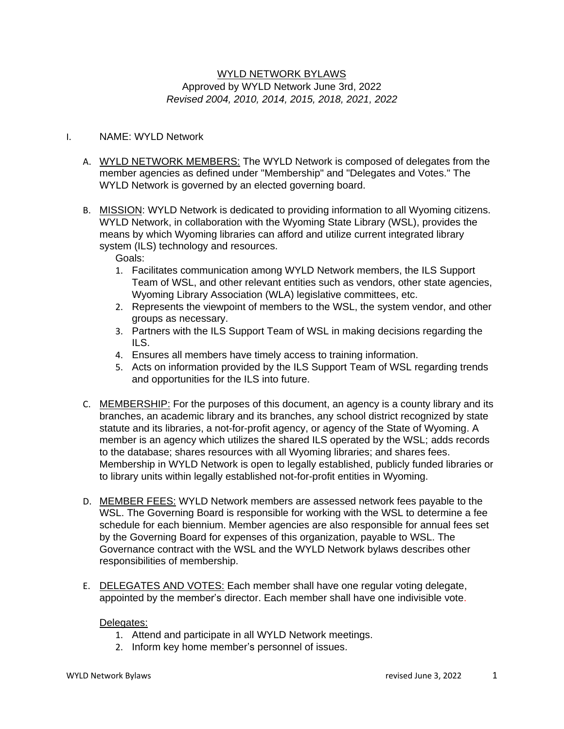## WYLD NETWORK BYLAWS Approved by WYLD Network June 3rd, 2022 *Revised 2004, 2010, 2014, 2015, 2018, 2021, 2022*

### I. NAME: WYLD Network

- A. WYLD NETWORK MEMBERS: The WYLD Network is composed of delegates from the member agencies as defined under "Membership" and "Delegates and Votes." The WYLD Network is governed by an elected governing board.
- B. MISSION: WYLD Network is dedicated to providing information to all Wyoming citizens. WYLD Network, in collaboration with the Wyoming State Library (WSL), provides the means by which Wyoming libraries can afford and utilize current integrated library system (ILS) technology and resources.
	- Goals:
	- 1. Facilitates communication among WYLD Network members, the ILS Support Team of WSL, and other relevant entities such as vendors, other state agencies, Wyoming Library Association (WLA) legislative committees, etc.
	- 2. Represents the viewpoint of members to the WSL, the system vendor, and other groups as necessary.
	- 3. Partners with the ILS Support Team of WSL in making decisions regarding the ILS.
	- 4. Ensures all members have timely access to training information.
	- 5. Acts on information provided by the ILS Support Team of WSL regarding trends and opportunities for the ILS into future.
- C. MEMBERSHIP: For the purposes of this document, an agency is a county library and its branches, an academic library and its branches, any school district recognized by state statute and its libraries, a not-for-profit agency, or agency of the State of Wyoming. A member is an agency which utilizes the shared ILS operated by the WSL; adds records to the database; shares resources with all Wyoming libraries; and shares fees. Membership in WYLD Network is open to legally established, publicly funded libraries or to library units within legally established not-for-profit entities in Wyoming.
- D. MEMBER FEES: WYLD Network members are assessed network fees payable to the WSL. The Governing Board is responsible for working with the WSL to determine a fee schedule for each biennium. Member agencies are also responsible for annual fees set by the Governing Board for expenses of this organization, payable to WSL. The Governance contract with the WSL and the WYLD Network bylaws describes other responsibilities of membership.
- E. DELEGATES AND VOTES: Each member shall have one regular voting delegate, appointed by the member's director. Each member shall have one indivisible vote.

### Delegates:

- 1. Attend and participate in all WYLD Network meetings.
- 2. Inform key home member's personnel of issues.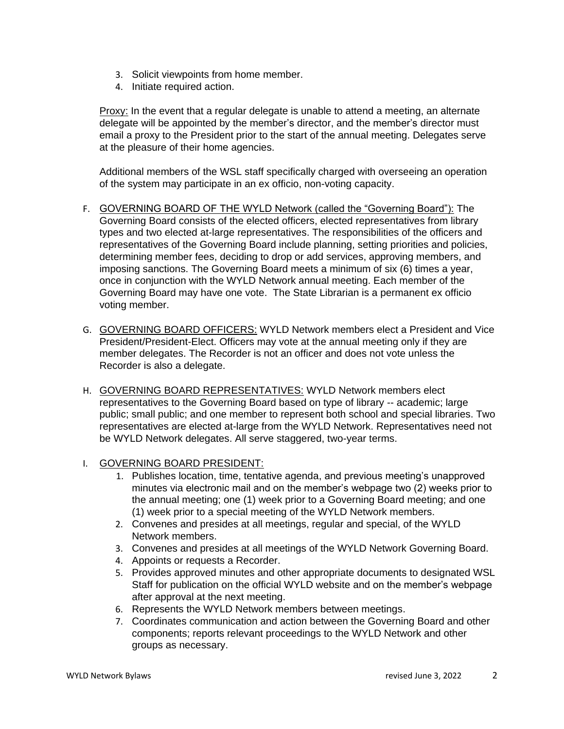- 3. Solicit viewpoints from home member.
- 4. Initiate required action.

Proxy: In the event that a regular delegate is unable to attend a meeting, an alternate delegate will be appointed by the member's director, and the member's director must email a proxy to the President prior to the start of the annual meeting. Delegates serve at the pleasure of their home agencies.

Additional members of the WSL staff specifically charged with overseeing an operation of the system may participate in an ex officio, non-voting capacity.

- F. GOVERNING BOARD OF THE WYLD Network (called the "Governing Board"): The Governing Board consists of the elected officers, elected representatives from library types and two elected at-large representatives. The responsibilities of the officers and representatives of the Governing Board include planning, setting priorities and policies, determining member fees, deciding to drop or add services, approving members, and imposing sanctions. The Governing Board meets a minimum of six (6) times a year, once in conjunction with the WYLD Network annual meeting. Each member of the Governing Board may have one vote. The State Librarian is a permanent ex officio voting member.
- G. GOVERNING BOARD OFFICERS: WYLD Network members elect a President and Vice President/President-Elect. Officers may vote at the annual meeting only if they are member delegates. The Recorder is not an officer and does not vote unless the Recorder is also a delegate.
- H. GOVERNING BOARD REPRESENTATIVES: WYLD Network members elect representatives to the Governing Board based on type of library -- academic; large public; small public; and one member to represent both school and special libraries. Two representatives are elected at-large from the WYLD Network. Representatives need not be WYLD Network delegates. All serve staggered, two-year terms.
- I. GOVERNING BOARD PRESIDENT:
	- 1. Publishes location, time, tentative agenda, and previous meeting's unapproved minutes via electronic mail and on the member's webpage two (2) weeks prior to the annual meeting; one (1) week prior to a Governing Board meeting; and one (1) week prior to a special meeting of the WYLD Network members.
	- 2. Convenes and presides at all meetings, regular and special, of the WYLD Network members.
	- 3. Convenes and presides at all meetings of the WYLD Network Governing Board.
	- 4. Appoints or requests a Recorder.
	- 5. Provides approved minutes and other appropriate documents to designated WSL Staff for publication on the official WYLD website and on the member's webpage after approval at the next meeting.
	- 6. Represents the WYLD Network members between meetings.
	- 7. Coordinates communication and action between the Governing Board and other components; reports relevant proceedings to the WYLD Network and other groups as necessary.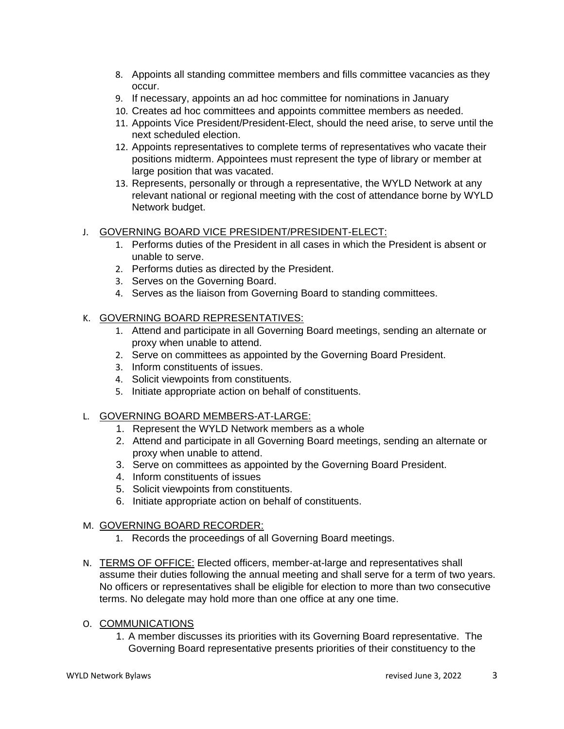- 8. Appoints all standing committee members and fills committee vacancies as they occur.
- 9. If necessary, appoints an ad hoc committee for nominations in January
- 10. Creates ad hoc committees and appoints committee members as needed.
- 11. Appoints Vice President/President-Elect, should the need arise, to serve until the next scheduled election.
- 12. Appoints representatives to complete terms of representatives who vacate their positions midterm. Appointees must represent the type of library or member at large position that was vacated.
- 13. Represents, personally or through a representative, the WYLD Network at any relevant national or regional meeting with the cost of attendance borne by WYLD Network budget.

## J. GOVERNING BOARD VICE PRESIDENT/PRESIDENT-ELECT:

- 1. Performs duties of the President in all cases in which the President is absent or unable to serve.
- 2. Performs duties as directed by the President.
- 3. Serves on the Governing Board.
- 4. Serves as the liaison from Governing Board to standing committees.

## K. GOVERNING BOARD REPRESENTATIVES:

- 1. Attend and participate in all Governing Board meetings, sending an alternate or proxy when unable to attend.
- 2. Serve on committees as appointed by the Governing Board President.
- 3. Inform constituents of issues.
- 4. Solicit viewpoints from constituents.
- 5. Initiate appropriate action on behalf of constituents.

#### L. GOVERNING BOARD MEMBERS-AT-LARGE:

- 1. Represent the WYLD Network members as a whole
- 2. Attend and participate in all Governing Board meetings, sending an alternate or proxy when unable to attend.
- 3. Serve on committees as appointed by the Governing Board President.
- 4. Inform constituents of issues
- 5. Solicit viewpoints from constituents.
- 6. Initiate appropriate action on behalf of constituents.

#### M. GOVERNING BOARD RECORDER:

- 1. Records the proceedings of all Governing Board meetings.
- N. TERMS OF OFFICE: Elected officers, member-at-large and representatives shall assume their duties following the annual meeting and shall serve for a term of two years. No officers or representatives shall be eligible for election to more than two consecutive terms. No delegate may hold more than one office at any one time.

### O. COMMUNICATIONS

1. A member discusses its priorities with its Governing Board representative. The Governing Board representative presents priorities of their constituency to the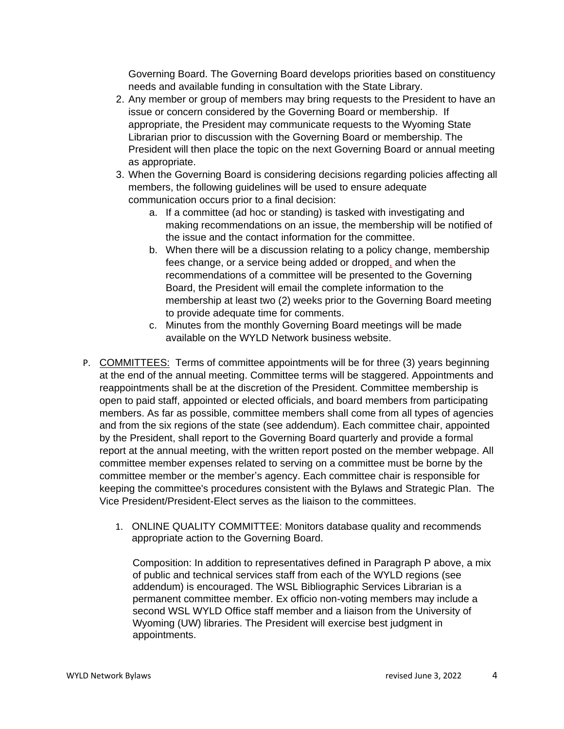Governing Board. The Governing Board develops priorities based on constituency needs and available funding in consultation with the State Library.

- 2. Any member or group of members may bring requests to the President to have an issue or concern considered by the Governing Board or membership. If appropriate, the President may communicate requests to the Wyoming State Librarian prior to discussion with the Governing Board or membership. The President will then place the topic on the next Governing Board or annual meeting as appropriate.
- 3. When the Governing Board is considering decisions regarding policies affecting all members, the following guidelines will be used to ensure adequate communication occurs prior to a final decision:
	- a. If a committee (ad hoc or standing) is tasked with investigating and making recommendations on an issue, the membership will be notified of the issue and the contact information for the committee.
	- b. When there will be a discussion relating to a policy change, membership fees change, or a service being added or dropped, and when the recommendations of a committee will be presented to the Governing Board, the President will email the complete information to the membership at least two (2) weeks prior to the Governing Board meeting to provide adequate time for comments.
	- c. Minutes from the monthly Governing Board meetings will be made available on the WYLD Network business website.
- P. COMMITTEES: Terms of committee appointments will be for three (3) years beginning at the end of the annual meeting. Committee terms will be staggered. Appointments and reappointments shall be at the discretion of the President. Committee membership is open to paid staff, appointed or elected officials, and board members from participating members. As far as possible, committee members shall come from all types of agencies and from the six regions of the state (see addendum). Each committee chair, appointed by the President, shall report to the Governing Board quarterly and provide a formal report at the annual meeting, with the written report posted on the member webpage. All committee member expenses related to serving on a committee must be borne by the committee member or the member's agency. Each committee chair is responsible for keeping the committee's procedures consistent with the Bylaws and Strategic Plan. The Vice President/President-Elect serves as the liaison to the committees.
	- 1. ONLINE QUALITY COMMITTEE: Monitors database quality and recommends appropriate action to the Governing Board.

Composition: In addition to representatives defined in Paragraph P above, a mix of public and technical services staff from each of the WYLD regions (see addendum) is encouraged. The WSL Bibliographic Services Librarian is a permanent committee member. Ex officio non-voting members may include a second WSL WYLD Office staff member and a liaison from the University of Wyoming (UW) libraries. The President will exercise best judgment in appointments.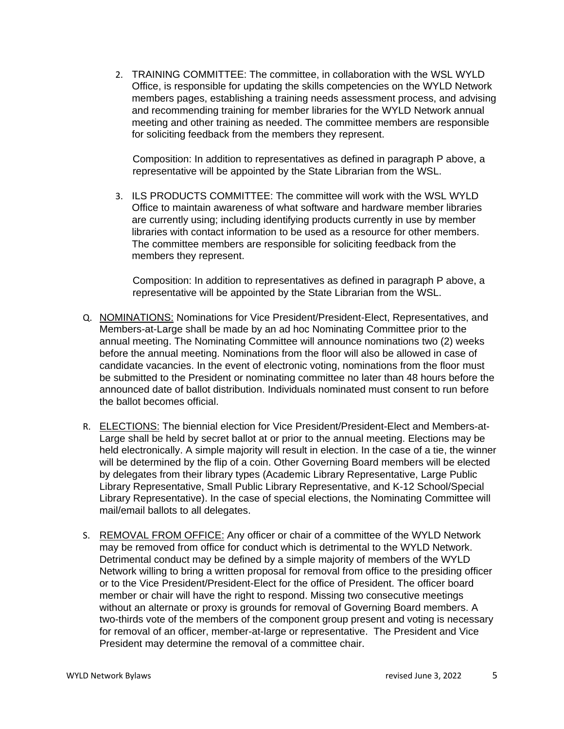2. TRAINING COMMITTEE: The committee, in collaboration with the WSL WYLD Office, is responsible for updating the skills competencies on the WYLD Network members pages, establishing a training needs assessment process, and advising and recommending training for member libraries for the WYLD Network annual meeting and other training as needed. The committee members are responsible for soliciting feedback from the members they represent.

Composition: In addition to representatives as defined in paragraph P above, a representative will be appointed by the State Librarian from the WSL.

3. ILS PRODUCTS COMMITTEE: The committee will work with the WSL WYLD Office to maintain awareness of what software and hardware member libraries are currently using; including identifying products currently in use by member libraries with contact information to be used as a resource for other members. The committee members are responsible for soliciting feedback from the members they represent.

Composition: In addition to representatives as defined in paragraph P above, a representative will be appointed by the State Librarian from the WSL.

- Q. NOMINATIONS: Nominations for Vice President/President-Elect, Representatives, and Members-at-Large shall be made by an ad hoc Nominating Committee prior to the annual meeting. The Nominating Committee will announce nominations two (2) weeks before the annual meeting. Nominations from the floor will also be allowed in case of candidate vacancies. In the event of electronic voting, nominations from the floor must be submitted to the President or nominating committee no later than 48 hours before the announced date of ballot distribution. Individuals nominated must consent to run before the ballot becomes official.
- R. ELECTIONS: The biennial election for Vice President/President-Elect and Members-at-Large shall be held by secret ballot at or prior to the annual meeting. Elections may be held electronically. A simple majority will result in election. In the case of a tie, the winner will be determined by the flip of a coin. Other Governing Board members will be elected by delegates from their library types (Academic Library Representative, Large Public Library Representative, Small Public Library Representative, and K-12 School/Special Library Representative). In the case of special elections, the Nominating Committee will mail/email ballots to all delegates.
- S. REMOVAL FROM OFFICE: Any officer or chair of a committee of the WYLD Network may be removed from office for conduct which is detrimental to the WYLD Network. Detrimental conduct may be defined by a simple majority of members of the WYLD Network willing to bring a written proposal for removal from office to the presiding officer or to the Vice President/President-Elect for the office of President. The officer board member or chair will have the right to respond. Missing two consecutive meetings without an alternate or proxy is grounds for removal of Governing Board members. A two-thirds vote of the members of the component group present and voting is necessary for removal of an officer, member-at-large or representative. The President and Vice President may determine the removal of a committee chair.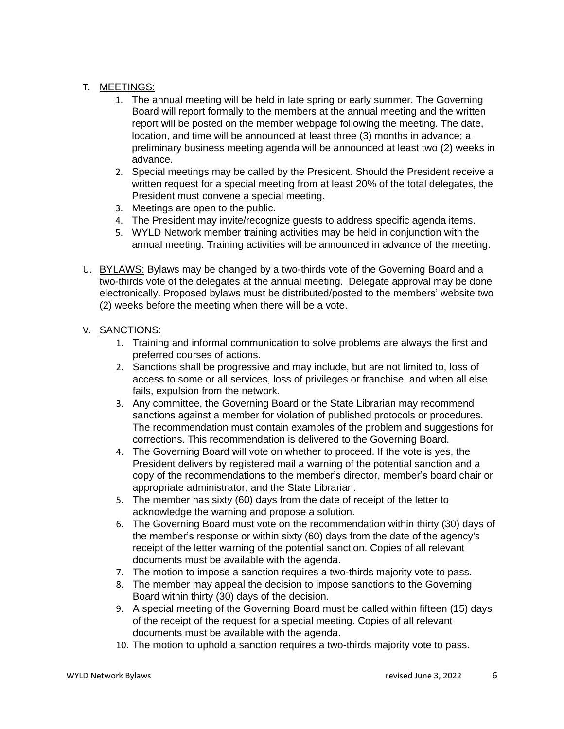## T. MEETINGS:

- 1. The annual meeting will be held in late spring or early summer. The Governing Board will report formally to the members at the annual meeting and the written report will be posted on the member webpage following the meeting. The date, location, and time will be announced at least three (3) months in advance; a preliminary business meeting agenda will be announced at least two (2) weeks in advance.
- 2. Special meetings may be called by the President. Should the President receive a written request for a special meeting from at least 20% of the total delegates, the President must convene a special meeting.
- 3. Meetings are open to the public.
- 4. The President may invite/recognize guests to address specific agenda items.
- 5. WYLD Network member training activities may be held in conjunction with the annual meeting. Training activities will be announced in advance of the meeting.
- U. BYLAWS: Bylaws may be changed by a two-thirds vote of the Governing Board and a two-thirds vote of the delegates at the annual meeting. Delegate approval may be done electronically. Proposed bylaws must be distributed/posted to the members' website two (2) weeks before the meeting when there will be a vote.

# V. SANCTIONS:

- 1. Training and informal communication to solve problems are always the first and preferred courses of actions.
- 2. Sanctions shall be progressive and may include, but are not limited to, loss of access to some or all services, loss of privileges or franchise, and when all else fails, expulsion from the network.
- 3. Any committee, the Governing Board or the State Librarian may recommend sanctions against a member for violation of published protocols or procedures. The recommendation must contain examples of the problem and suggestions for corrections. This recommendation is delivered to the Governing Board.
- 4. The Governing Board will vote on whether to proceed. If the vote is yes, the President delivers by registered mail a warning of the potential sanction and a copy of the recommendations to the member's director, member's board chair or appropriate administrator, and the State Librarian.
- 5. The member has sixty (60) days from the date of receipt of the letter to acknowledge the warning and propose a solution.
- 6. The Governing Board must vote on the recommendation within thirty (30) days of the member's response or within sixty (60) days from the date of the agency's receipt of the letter warning of the potential sanction. Copies of all relevant documents must be available with the agenda.
- 7. The motion to impose a sanction requires a two-thirds majority vote to pass.
- 8. The member may appeal the decision to impose sanctions to the Governing Board within thirty (30) days of the decision.
- 9. A special meeting of the Governing Board must be called within fifteen (15) days of the receipt of the request for a special meeting. Copies of all relevant documents must be available with the agenda.
- 10. The motion to uphold a sanction requires a two-thirds majority vote to pass.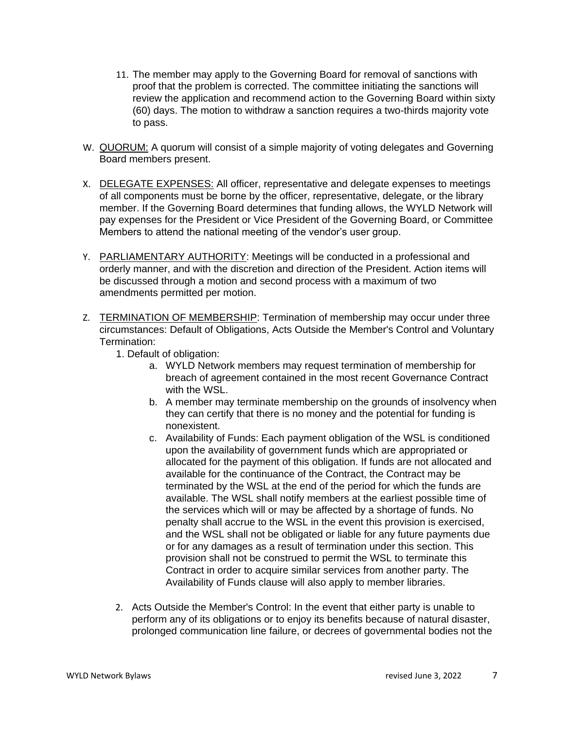- 11. The member may apply to the Governing Board for removal of sanctions with proof that the problem is corrected. The committee initiating the sanctions will review the application and recommend action to the Governing Board within sixty (60) days. The motion to withdraw a sanction requires a two-thirds majority vote to pass.
- W. QUORUM: A quorum will consist of a simple majority of voting delegates and Governing Board members present.
- X. DELEGATE EXPENSES: All officer, representative and delegate expenses to meetings of all components must be borne by the officer, representative, delegate, or the library member. If the Governing Board determines that funding allows, the WYLD Network will pay expenses for the President or Vice President of the Governing Board, or Committee Members to attend the national meeting of the vendor's user group.
- Y. PARLIAMENTARY AUTHORITY: Meetings will be conducted in a professional and orderly manner, and with the discretion and direction of the President. Action items will be discussed through a motion and second process with a maximum of two amendments permitted per motion.
- Z. TERMINATION OF MEMBERSHIP: Termination of membership may occur under three circumstances: Default of Obligations, Acts Outside the Member's Control and Voluntary Termination:
	- 1. Default of obligation:
		- a. WYLD Network members may request termination of membership for breach of agreement contained in the most recent Governance Contract with the WSL.
		- b. A member may terminate membership on the grounds of insolvency when they can certify that there is no money and the potential for funding is nonexistent.
		- c. Availability of Funds: Each payment obligation of the WSL is conditioned upon the availability of government funds which are appropriated or allocated for the payment of this obligation. If funds are not allocated and available for the continuance of the Contract, the Contract may be terminated by the WSL at the end of the period for which the funds are available. The WSL shall notify members at the earliest possible time of the services which will or may be affected by a shortage of funds. No penalty shall accrue to the WSL in the event this provision is exercised, and the WSL shall not be obligated or liable for any future payments due or for any damages as a result of termination under this section. This provision shall not be construed to permit the WSL to terminate this Contract in order to acquire similar services from another party. The Availability of Funds clause will also apply to member libraries.
	- 2. Acts Outside the Member's Control: In the event that either party is unable to perform any of its obligations or to enjoy its benefits because of natural disaster, prolonged communication line failure, or decrees of governmental bodies not the